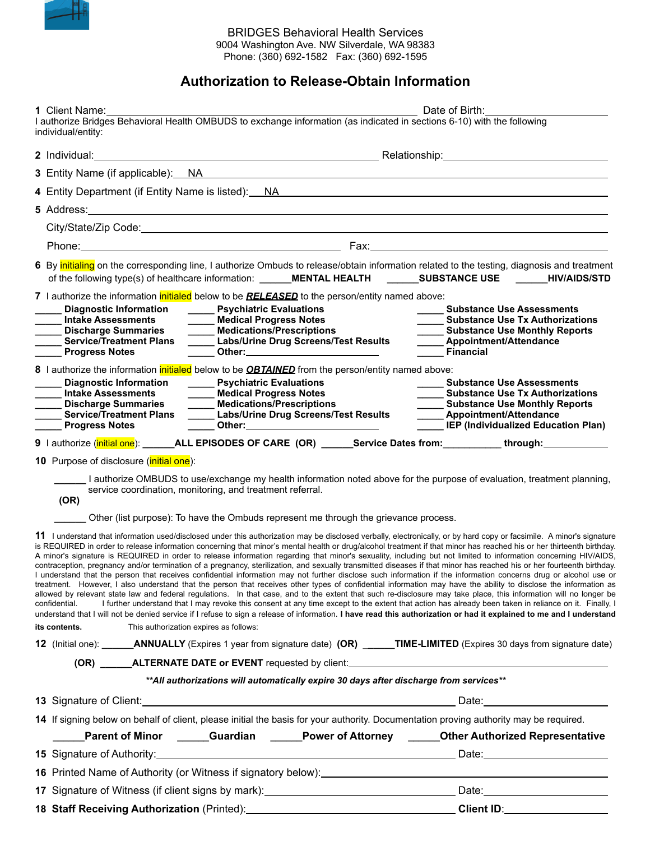

## BRIDGES Behavioral Health Services 9004 Washington Ave. NW Silverdale, WA 98383 Phone: (360) 692-1582 Fax: (360) 692-1595

## **Authorization to Release-Obtain Information**

| 1 Client Name: 1.1 Client Name:                                                                                                                                                                                                                              |                                                                                                         |                                                                                                     | Date of Birth:                                                                                                                                                                                                                                                                                                                                                                                                                                                                                                                                                                                                                                                                                                                                                                                                                                                                                                                                                                                                                                                                                                                                                                                                                                                                                                                                                                                                                                                                                                                                                                                                                                                                   |
|--------------------------------------------------------------------------------------------------------------------------------------------------------------------------------------------------------------------------------------------------------------|---------------------------------------------------------------------------------------------------------|-----------------------------------------------------------------------------------------------------|----------------------------------------------------------------------------------------------------------------------------------------------------------------------------------------------------------------------------------------------------------------------------------------------------------------------------------------------------------------------------------------------------------------------------------------------------------------------------------------------------------------------------------------------------------------------------------------------------------------------------------------------------------------------------------------------------------------------------------------------------------------------------------------------------------------------------------------------------------------------------------------------------------------------------------------------------------------------------------------------------------------------------------------------------------------------------------------------------------------------------------------------------------------------------------------------------------------------------------------------------------------------------------------------------------------------------------------------------------------------------------------------------------------------------------------------------------------------------------------------------------------------------------------------------------------------------------------------------------------------------------------------------------------------------------|
| I authorize Bridges Behavioral Health OMBUDS to exchange information (as indicated in sections 6-10) with the following<br>individual/entity:                                                                                                                |                                                                                                         |                                                                                                     |                                                                                                                                                                                                                                                                                                                                                                                                                                                                                                                                                                                                                                                                                                                                                                                                                                                                                                                                                                                                                                                                                                                                                                                                                                                                                                                                                                                                                                                                                                                                                                                                                                                                                  |
|                                                                                                                                                                                                                                                              |                                                                                                         |                                                                                                     |                                                                                                                                                                                                                                                                                                                                                                                                                                                                                                                                                                                                                                                                                                                                                                                                                                                                                                                                                                                                                                                                                                                                                                                                                                                                                                                                                                                                                                                                                                                                                                                                                                                                                  |
| 3 Entity Name (if applicable): NA Manual Annual Account of the United States of the United States of the United States of the United States of the United States of the United States of the United States of the United State                               |                                                                                                         |                                                                                                     |                                                                                                                                                                                                                                                                                                                                                                                                                                                                                                                                                                                                                                                                                                                                                                                                                                                                                                                                                                                                                                                                                                                                                                                                                                                                                                                                                                                                                                                                                                                                                                                                                                                                                  |
|                                                                                                                                                                                                                                                              |                                                                                                         |                                                                                                     | 4 Entity Department (if Entity Name is listed): NA                                                                                                                                                                                                                                                                                                                                                                                                                                                                                                                                                                                                                                                                                                                                                                                                                                                                                                                                                                                                                                                                                                                                                                                                                                                                                                                                                                                                                                                                                                                                                                                                                               |
|                                                                                                                                                                                                                                                              |                                                                                                         |                                                                                                     |                                                                                                                                                                                                                                                                                                                                                                                                                                                                                                                                                                                                                                                                                                                                                                                                                                                                                                                                                                                                                                                                                                                                                                                                                                                                                                                                                                                                                                                                                                                                                                                                                                                                                  |
|                                                                                                                                                                                                                                                              |                                                                                                         |                                                                                                     |                                                                                                                                                                                                                                                                                                                                                                                                                                                                                                                                                                                                                                                                                                                                                                                                                                                                                                                                                                                                                                                                                                                                                                                                                                                                                                                                                                                                                                                                                                                                                                                                                                                                                  |
| Phone: Phone Phone Phone Phone Phone Phone Phone Phone Phone Phone Phone Phone Phone Phone Phone Phone Phone Phone Phone Phone Phone Phone Phone Phone Phone Phone Phone Phone Phone Phone Phone Phone Phone Phone Phone Phone                               |                                                                                                         |                                                                                                     |                                                                                                                                                                                                                                                                                                                                                                                                                                                                                                                                                                                                                                                                                                                                                                                                                                                                                                                                                                                                                                                                                                                                                                                                                                                                                                                                                                                                                                                                                                                                                                                                                                                                                  |
|                                                                                                                                                                                                                                                              |                                                                                                         |                                                                                                     | 6 By initialing on the corresponding line, I authorize Ombuds to release/obtain information related to the testing, diagnosis and treatment<br>of the following type(s) of healthcare information: _______MENTAL HEALTH ________SUBSTANCE USE _______HIV/AIDS/STD                                                                                                                                                                                                                                                                                                                                                                                                                                                                                                                                                                                                                                                                                                                                                                                                                                                                                                                                                                                                                                                                                                                                                                                                                                                                                                                                                                                                                |
| 7 I authorize the information initialed below to be <b>RELEASED</b> to the person/entity named above:<br><b>Diagnostic Information</b><br><b>Intake Assessments</b><br><b>Discharge Summaries</b><br><b>Service/Treatment Plans</b><br><b>Progress Notes</b> | _______ Psychiatric Evaluations                                                                         | Labs/Urine Drug Screens/Test Results                                                                | <b>Substance Use Assessments</b><br><b>Substance Use Tx Authorizations</b><br><b>Substance Use Monthly Reports</b><br>Appointment/Attendance<br><b>Financial</b>                                                                                                                                                                                                                                                                                                                                                                                                                                                                                                                                                                                                                                                                                                                                                                                                                                                                                                                                                                                                                                                                                                                                                                                                                                                                                                                                                                                                                                                                                                                 |
| 8 I authorize the information initialed below to be <b>OBTAINED</b> from the person/entity named above:<br><b>Diagnostic Information</b><br><b>Intake Assessments</b><br><b>Discharge Summaries</b><br><b>Service/Treatment Plans</b><br>Progress Notes      | _______ Psychiatric Evaluations<br>Medical Progress Notes<br><b>Medications/Prescriptions</b><br>$\sim$ | _____ Labs/Urine Drug Screens/Test Results<br>_____ <sup>__</sup> Other:___________________________ | <b>Substance Use Assessments</b><br><b>Substance Use Tx Authorizations</b><br><b>Substance Use Monthly Reports</b><br>_____ Appointment/Attendance<br><b>IEP</b> (Individualized Education Plan)                                                                                                                                                                                                                                                                                                                                                                                                                                                                                                                                                                                                                                                                                                                                                                                                                                                                                                                                                                                                                                                                                                                                                                                                                                                                                                                                                                                                                                                                                 |
|                                                                                                                                                                                                                                                              |                                                                                                         |                                                                                                     | 9   authorize (initial one): _______ALL EPISODES OF CARE (OR) ______Service Dates from: ____________through: ____________                                                                                                                                                                                                                                                                                                                                                                                                                                                                                                                                                                                                                                                                                                                                                                                                                                                                                                                                                                                                                                                                                                                                                                                                                                                                                                                                                                                                                                                                                                                                                        |
| 10 Purpose of disclosure ( <i>initial one</i> ):                                                                                                                                                                                                             |                                                                                                         |                                                                                                     |                                                                                                                                                                                                                                                                                                                                                                                                                                                                                                                                                                                                                                                                                                                                                                                                                                                                                                                                                                                                                                                                                                                                                                                                                                                                                                                                                                                                                                                                                                                                                                                                                                                                                  |
| service coordination, monitoring, and treatment referral.<br>(OR)                                                                                                                                                                                            |                                                                                                         |                                                                                                     | I authorize OMBUDS to use/exchange my health information noted above for the purpose of evaluation, treatment planning,                                                                                                                                                                                                                                                                                                                                                                                                                                                                                                                                                                                                                                                                                                                                                                                                                                                                                                                                                                                                                                                                                                                                                                                                                                                                                                                                                                                                                                                                                                                                                          |
|                                                                                                                                                                                                                                                              |                                                                                                         | Other (list purpose): To have the Ombuds represent me through the grievance process.                |                                                                                                                                                                                                                                                                                                                                                                                                                                                                                                                                                                                                                                                                                                                                                                                                                                                                                                                                                                                                                                                                                                                                                                                                                                                                                                                                                                                                                                                                                                                                                                                                                                                                                  |
| confidential.<br>its contents.                                                                                                                                                                                                                               | This authorization expires as follows:                                                                  |                                                                                                     | 11 I understand that information used/disclosed under this authorization may be disclosed verbally, electronically, or by hard copy or facsimile. A minor's signature<br>is REQUIRED in order to release information concerning that minor's mental health or drug/alcohol treatment if that minor has reached his or her thirteenth birthday.<br>A minor's signature is REQUIRED in order to release information regarding that minor's sexuality, including but not limited to information concerning HIV/AIDS,<br>contraception, pregnancy and/or termination of a pregnancy, sterilization, and sexually transmitted diseases if that minor has reached his or her fourteenth birthday.<br>I understand that the person that receives confidential information may not further disclose such information if the information concerns drug or alcohol use or<br>treatment. However, I also understand that the person that receives other types of confidential information may have the ability to disclose the information as<br>allowed by relevant state law and federal requiations. In that case, and to the extent that such re-disclosure may take place, this information will no longer be<br>I further understand that I may revoke this consent at any time except to the extent that action has already been taken in reliance on it. Finally, I<br>understand that I will not be denied service if I refuse to sign a release of information. I have read this authorization or had it explained to me and I understand<br>12 (Initial one): _______ANNUALLY (Expires 1 year from signature date) (OR) ______TIME-LIMITED (Expires 30 days from signature date) |
|                                                                                                                                                                                                                                                              |                                                                                                         |                                                                                                     |                                                                                                                                                                                                                                                                                                                                                                                                                                                                                                                                                                                                                                                                                                                                                                                                                                                                                                                                                                                                                                                                                                                                                                                                                                                                                                                                                                                                                                                                                                                                                                                                                                                                                  |
|                                                                                                                                                                                                                                                              |                                                                                                         |                                                                                                     |                                                                                                                                                                                                                                                                                                                                                                                                                                                                                                                                                                                                                                                                                                                                                                                                                                                                                                                                                                                                                                                                                                                                                                                                                                                                                                                                                                                                                                                                                                                                                                                                                                                                                  |
|                                                                                                                                                                                                                                                              |                                                                                                         | **All authorizations will automatically expire 30 days after discharge from services**              |                                                                                                                                                                                                                                                                                                                                                                                                                                                                                                                                                                                                                                                                                                                                                                                                                                                                                                                                                                                                                                                                                                                                                                                                                                                                                                                                                                                                                                                                                                                                                                                                                                                                                  |
|                                                                                                                                                                                                                                                              |                                                                                                         |                                                                                                     |                                                                                                                                                                                                                                                                                                                                                                                                                                                                                                                                                                                                                                                                                                                                                                                                                                                                                                                                                                                                                                                                                                                                                                                                                                                                                                                                                                                                                                                                                                                                                                                                                                                                                  |
|                                                                                                                                                                                                                                                              |                                                                                                         |                                                                                                     | 14 If signing below on behalf of client, please initial the basis for your authority. Documentation proving authority may be required.                                                                                                                                                                                                                                                                                                                                                                                                                                                                                                                                                                                                                                                                                                                                                                                                                                                                                                                                                                                                                                                                                                                                                                                                                                                                                                                                                                                                                                                                                                                                           |
|                                                                                                                                                                                                                                                              |                                                                                                         |                                                                                                     | _____Parent of Minor  _____Guardian  _____Power of Attorney  _____Other Authorized Representative                                                                                                                                                                                                                                                                                                                                                                                                                                                                                                                                                                                                                                                                                                                                                                                                                                                                                                                                                                                                                                                                                                                                                                                                                                                                                                                                                                                                                                                                                                                                                                                |
|                                                                                                                                                                                                                                                              |                                                                                                         |                                                                                                     |                                                                                                                                                                                                                                                                                                                                                                                                                                                                                                                                                                                                                                                                                                                                                                                                                                                                                                                                                                                                                                                                                                                                                                                                                                                                                                                                                                                                                                                                                                                                                                                                                                                                                  |
|                                                                                                                                                                                                                                                              |                                                                                                         |                                                                                                     |                                                                                                                                                                                                                                                                                                                                                                                                                                                                                                                                                                                                                                                                                                                                                                                                                                                                                                                                                                                                                                                                                                                                                                                                                                                                                                                                                                                                                                                                                                                                                                                                                                                                                  |
|                                                                                                                                                                                                                                                              |                                                                                                         |                                                                                                     |                                                                                                                                                                                                                                                                                                                                                                                                                                                                                                                                                                                                                                                                                                                                                                                                                                                                                                                                                                                                                                                                                                                                                                                                                                                                                                                                                                                                                                                                                                                                                                                                                                                                                  |
| 18 Staff Receiving Authorization (Printed): 18 Staff Receiving Authorization (Printed):                                                                                                                                                                      |                                                                                                         |                                                                                                     |                                                                                                                                                                                                                                                                                                                                                                                                                                                                                                                                                                                                                                                                                                                                                                                                                                                                                                                                                                                                                                                                                                                                                                                                                                                                                                                                                                                                                                                                                                                                                                                                                                                                                  |